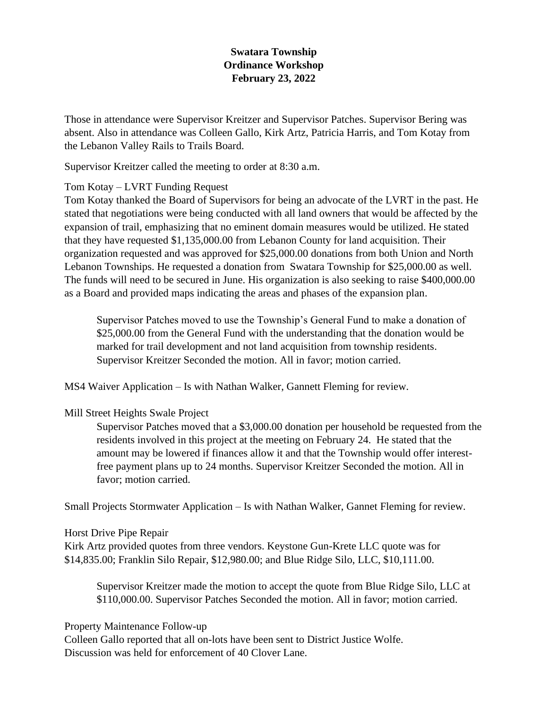## **Swatara Township Ordinance Workshop February 23, 2022**

Those in attendance were Supervisor Kreitzer and Supervisor Patches. Supervisor Bering was absent. Also in attendance was Colleen Gallo, Kirk Artz, Patricia Harris, and Tom Kotay from the Lebanon Valley Rails to Trails Board.

Supervisor Kreitzer called the meeting to order at 8:30 a.m.

## Tom Kotay – LVRT Funding Request

Tom Kotay thanked the Board of Supervisors for being an advocate of the LVRT in the past. He stated that negotiations were being conducted with all land owners that would be affected by the expansion of trail, emphasizing that no eminent domain measures would be utilized. He stated that they have requested \$1,135,000.00 from Lebanon County for land acquisition. Their organization requested and was approved for \$25,000.00 donations from both Union and North Lebanon Townships. He requested a donation from Swatara Township for \$25,000.00 as well. The funds will need to be secured in June. His organization is also seeking to raise \$400,000.00 as a Board and provided maps indicating the areas and phases of the expansion plan.

Supervisor Patches moved to use the Township's General Fund to make a donation of \$25,000.00 from the General Fund with the understanding that the donation would be marked for trail development and not land acquisition from township residents. Supervisor Kreitzer Seconded the motion. All in favor; motion carried.

MS4 Waiver Application – Is with Nathan Walker, Gannett Fleming for review.

## Mill Street Heights Swale Project

Supervisor Patches moved that a \$3,000.00 donation per household be requested from the residents involved in this project at the meeting on February 24. He stated that the amount may be lowered if finances allow it and that the Township would offer interestfree payment plans up to 24 months. Supervisor Kreitzer Seconded the motion. All in favor; motion carried.

Small Projects Stormwater Application – Is with Nathan Walker, Gannet Fleming for review.

Horst Drive Pipe Repair

Kirk Artz provided quotes from three vendors. Keystone Gun-Krete LLC quote was for \$14,835.00; Franklin Silo Repair, \$12,980.00; and Blue Ridge Silo, LLC, \$10,111.00.

Supervisor Kreitzer made the motion to accept the quote from Blue Ridge Silo, LLC at \$110,000.00. Supervisor Patches Seconded the motion. All in favor; motion carried.

## Property Maintenance Follow-up

Colleen Gallo reported that all on-lots have been sent to District Justice Wolfe. Discussion was held for enforcement of 40 Clover Lane.